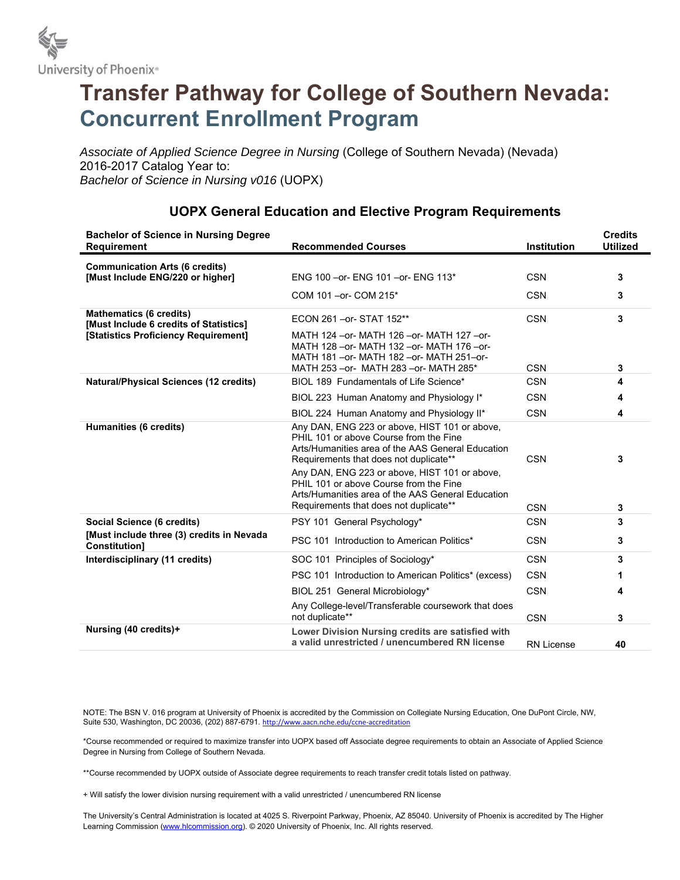

## **Transfer Pathway for College of Southern Nevada: Concurrent Enrollment Program**

*Associate of Applied Science Degree in Nursing* (College of Southern Nevada) (Nevada) 2016-2017 Catalog Year to: *Bachelor of Science in Nursing v016* (UOPX)

| <b>Bachelor of Science in Nursing Degree</b><br><b>Requirement</b>                                               | <b>Recommended Courses</b>                                                                                                                                                                     | Institution       | <b>Credits</b><br><b>Utilized</b> |
|------------------------------------------------------------------------------------------------------------------|------------------------------------------------------------------------------------------------------------------------------------------------------------------------------------------------|-------------------|-----------------------------------|
| <b>Communication Arts (6 credits)</b><br>[Must Include ENG/220 or higher]                                        | ENG 100 - or- ENG 101 - or- ENG 113*                                                                                                                                                           | <b>CSN</b>        | 3                                 |
|                                                                                                                  | COM 101 - or- COM 215*                                                                                                                                                                         | <b>CSN</b>        | 3                                 |
| <b>Mathematics (6 credits)</b><br>[Must Include 6 credits of Statistics]<br>[Statistics Proficiency Requirement] | ECON 261 - or - STAT 152**                                                                                                                                                                     | <b>CSN</b>        | 3                                 |
|                                                                                                                  | MATH 124 - or - MATH 126 - or - MATH 127 - or -<br>MATH 128 - or - MATH 132 - or - MATH 176 - or -<br>MATH 181 - or - MATH 182 - or - MATH 251-or -<br>MATH 253 - or- MATH 283 - or- MATH 285* | <b>CSN</b>        | 3                                 |
| <b>Natural/Physical Sciences (12 credits)</b>                                                                    | BIOL 189 Fundamentals of Life Science*                                                                                                                                                         | <b>CSN</b>        | 4                                 |
|                                                                                                                  | BIOL 223 Human Anatomy and Physiology I*                                                                                                                                                       | <b>CSN</b>        | 4                                 |
|                                                                                                                  | BIOL 224 Human Anatomy and Physiology II*                                                                                                                                                      | <b>CSN</b>        | 4                                 |
| Humanities (6 credits)                                                                                           | Any DAN, ENG 223 or above, HIST 101 or above,<br>PHIL 101 or above Course from the Fine<br>Arts/Humanities area of the AAS General Education<br>Requirements that does not duplicate**         | <b>CSN</b>        | 3                                 |
|                                                                                                                  | Any DAN, ENG 223 or above, HIST 101 or above,<br>PHIL 101 or above Course from the Fine<br>Arts/Humanities area of the AAS General Education<br>Requirements that does not duplicate**         | <b>CSN</b>        | 3                                 |
| Social Science (6 credits)                                                                                       | PSY 101 General Psychology*                                                                                                                                                                    | <b>CSN</b>        | 3                                 |
| [Must include three (3) credits in Nevada<br><b>Constitution1</b>                                                | PSC 101 Introduction to American Politics*                                                                                                                                                     | <b>CSN</b>        | 3                                 |
| Interdisciplinary (11 credits)                                                                                   | SOC 101 Principles of Sociology*                                                                                                                                                               | <b>CSN</b>        | 3                                 |
|                                                                                                                  | PSC 101 Introduction to American Politics* (excess)                                                                                                                                            | <b>CSN</b>        | 1                                 |
|                                                                                                                  | BIOL 251 General Microbiology*                                                                                                                                                                 | <b>CSN</b>        | 4                                 |
|                                                                                                                  | Any College-level/Transferable coursework that does<br>not duplicate**                                                                                                                         | <b>CSN</b>        | 3                                 |
| Nursing (40 credits)+                                                                                            | Lower Division Nursing credits are satisfied with<br>a valid unrestricted / unencumbered RN license                                                                                            | <b>RN License</b> | 40                                |

## **UOPX General Education and Elective Program Requirements**

NOTE: The BSN V. 016 program at University of Phoenix is accredited by the Commission on Collegiate Nursing Education, One DuPont Circle, NW, Suite 530, Washington, DC 20036, (202) 887-6791. http://www.aacn.nche.edu/ccne-accreditation

\*Course recommended or required to maximize transfer into UOPX based off Associate degree requirements to obtain an Associate of Applied Science Degree in Nursing from College of Southern Nevada.

\*\*Course recommended by UOPX outside of Associate degree requirements to reach transfer credit totals listed on pathway.

+ Will satisfy the lower division nursing requirement with a valid unrestricted / unencumbered RN license

The University's Central Administration is located at 4025 S. Riverpoint Parkway, Phoenix, AZ 85040. University of Phoenix is accredited by The Higher Learning Commission (www.hlcommission.org). © 2020 University of Phoenix, Inc. All rights reserved.